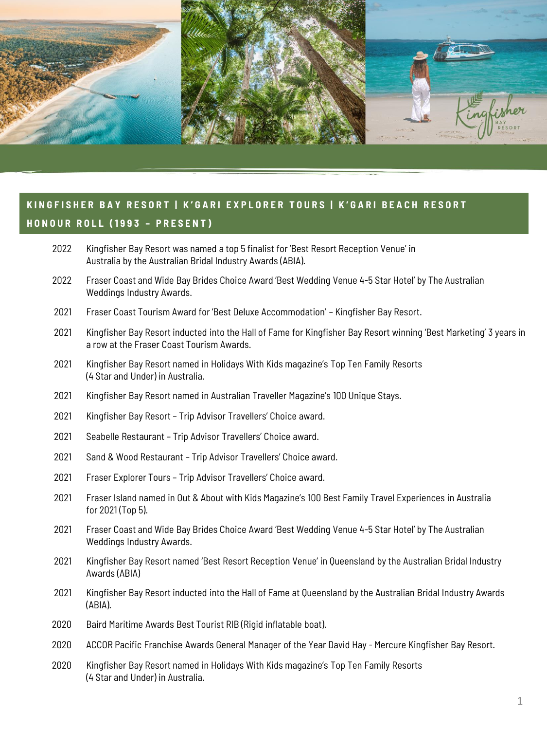

- Kingfisher Bay Resort was named a top 5 finalist for 'Best Resort Reception Venue' in Australia by the Australian Bridal Industry Awards (ABIA).
- Fraser Coast and Wide Bay Brides Choice Award 'Best Wedding Venue 4-5 Star Hotel' by The Australian Weddings Industry Awards.
- Fraser Coast Tourism Award for 'Best Deluxe Accommodation' Kingfisher Bay Resort.
- Kingfisher Bay Resort inducted into the Hall of Fame for Kingfisher Bay Resort winning 'Best Marketing' 3 years in a row at the Fraser Coast Tourism Awards.
- Kingfisher Bay Resort named in Holidays With Kids magazine's Top Ten Family Resorts (4 Star and Under) in Australia.
- Kingfisher Bay Resort named in Australian Traveller Magazine's 100 Unique Stays.
- Kingfisher Bay Resort Trip Advisor Travellers' Choice award.
- Seabelle Restaurant Trip Advisor Travellers' Choice award.
- Sand & Wood Restaurant Trip Advisor Travellers' Choice award.
- Fraser Explorer Tours Trip Advisor Travellers' Choice award.
- Fraser Island named in Out & About with Kids Magazine's 100 Best Family Travel Experiences in Australia for 2021 (Top 5).
- Fraser Coast and Wide Bay Brides Choice Award 'Best Wedding Venue 4-5 Star Hotel' by The Australian Weddings Industry Awards.
- Kingfisher Bay Resort named 'Best Resort Reception Venue' in Queensland by the Australian Bridal Industry Awards (ABIA)
- Kingfisher Bay Resort inducted into the Hall of Fame at Queensland by the Australian Bridal Industry Awards (ABIA).
- Baird Maritime Awards Best Tourist RIB (Rigid inflatable boat).
- ACCOR Pacific Franchise Awards General Manager of the Year David Hay Mercure Kingfisher Bay Resort.
- Kingfisher Bay Resort named in Holidays With Kids magazine's Top Ten Family Resorts (4 Star and Under) in Australia.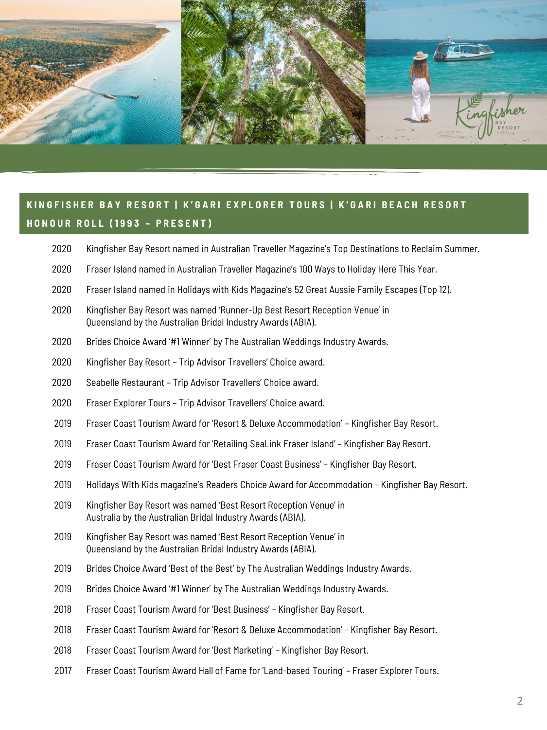

- Kingfisher Bay Resort named in Australian Traveller Magazine's Top Destinations to Reclaim Summer.
- Fraser Island named in Australian Traveller Magazine's 100 Ways to Holiday Here This Year.
- Fraser Island named in Holidays with Kids Magazine's 52 Great Aussie Family Escapes (Top 12).
- Kingfisher Bay Resort was named 'Runner-Up Best Resort Reception Venue' in Queensland by the Australian Bridal Industry Awards (ABIA).
- Brides Choice Award '#1 Winner' by The Australian Weddings Industry Awards.
- Kingfisher Bay Resort Trip Advisor Travellers' Choice award.
- Seabelle Restaurant Trip Advisor Travellers' Choice award.
- Fraser Explorer Tours Trip Advisor Travellers' Choice award.
- Fraser Coast Tourism Award for 'Resort & Deluxe Accommodation' Kingfisher Bay Resort.
- Fraser Coast Tourism Award for 'Retailing SeaLink Fraser Island' Kingfisher Bay Resort.
- Fraser Coast Tourism Award for 'Best Fraser Coast Business' Kingfisher Bay Resort.
- Holidays With Kids magazine's Readers Choice Award for Accommodation Kingfisher Bay Resort.
- Kingfisher Bay Resort was named 'Best Resort Reception Venue' in Australia by the Australian Bridal Industry Awards (ABIA).
- Kingfisher Bay Resort was named 'Best Resort Reception Venue' in Queensland by the Australian Bridal Industry Awards (ABIA).
- Brides Choice Award 'Best of the Best' by The Australian Weddings Industry Awards.
- Brides Choice Award '#1 Winner' by The Australian Weddings Industry Awards.
- Fraser Coast Tourism Award for 'Best Business' Kingfisher Bay Resort.
- Fraser Coast Tourism Award for 'Resort & Deluxe Accommodation' Kingfisher Bay Resort.
- Fraser Coast Tourism Award for 'Best Marketing' Kingfisher Bay Resort.
- Fraser Coast Tourism Award Hall of Fame for 'Land-based Touring' Fraser Explorer Tours.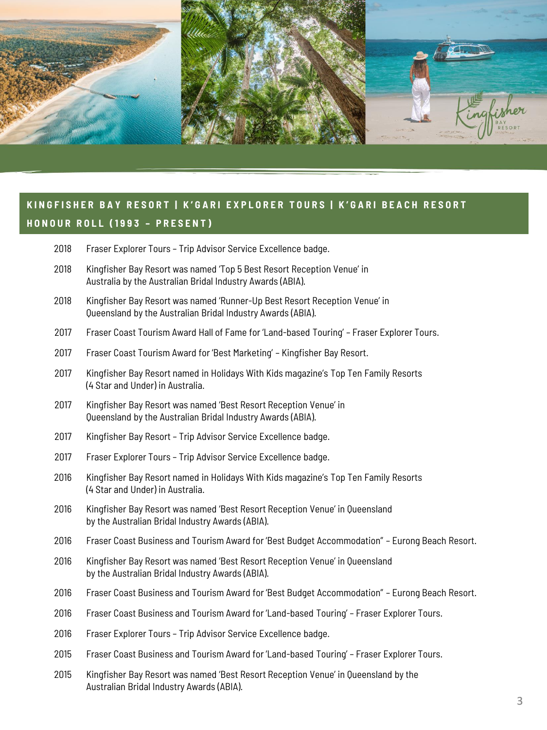

- Fraser Explorer Tours Trip Advisor Service Excellence badge.
- Kingfisher Bay Resort was named 'Top 5 Best Resort Reception Venue' in Australia by the Australian Bridal Industry Awards (ABIA).
- Kingfisher Bay Resort was named 'Runner-Up Best Resort Reception Venue' in Queensland by the Australian Bridal Industry Awards (ABIA).
- Fraser Coast Tourism Award Hall of Fame for 'Land-based Touring' Fraser Explorer Tours.
- Fraser Coast Tourism Award for 'Best Marketing' Kingfisher Bay Resort.
- Kingfisher Bay Resort named in Holidays With Kids magazine's Top Ten Family Resorts (4 Star and Under) in Australia.
- Kingfisher Bay Resort was named 'Best Resort Reception Venue' in Queensland by the Australian Bridal Industry Awards (ABIA).
- Kingfisher Bay Resort Trip Advisor Service Excellence badge.
- Fraser Explorer Tours Trip Advisor Service Excellence badge.
- Kingfisher Bay Resort named in Holidays With Kids magazine's Top Ten Family Resorts (4 Star and Under) in Australia.
- Kingfisher Bay Resort was named 'Best Resort Reception Venue' in Queensland by the Australian Bridal Industry Awards (ABIA).
- Fraser Coast Business and Tourism Award for 'Best Budget Accommodation" Eurong Beach Resort.
- Kingfisher Bay Resort was named 'Best Resort Reception Venue' in Queensland by the Australian Bridal Industry Awards (ABIA).
- Fraser Coast Business and Tourism Award for 'Best Budget Accommodation" Eurong Beach Resort.
- Fraser Coast Business and Tourism Award for 'Land-based Touring' Fraser Explorer Tours.
- Fraser Explorer Tours Trip Advisor Service Excellence badge.
- Fraser Coast Business and Tourism Award for 'Land-based Touring' Fraser Explorer Tours.
- Kingfisher Bay Resort was named 'Best Resort Reception Venue' in Queensland by the Australian Bridal Industry Awards (ABIA).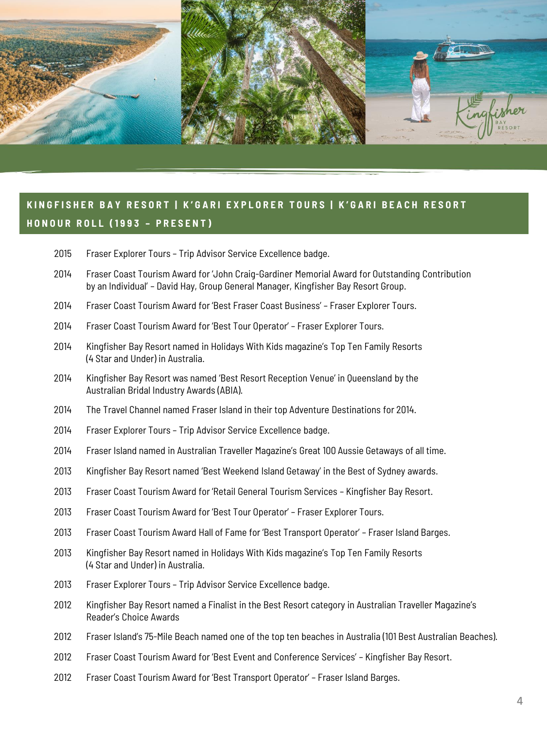

- Fraser Explorer Tours Trip Advisor Service Excellence badge.
- Fraser Coast Tourism Award for 'John Craig-Gardiner Memorial Award for Outstanding Contribution by an Individual' – David Hay, Group General Manager, Kingfisher Bay Resort Group.
- Fraser Coast Tourism Award for 'Best Fraser Coast Business' Fraser Explorer Tours.
- Fraser Coast Tourism Award for 'Best Tour Operator' Fraser Explorer Tours.
- Kingfisher Bay Resort named in Holidays With Kids magazine's Top Ten Family Resorts (4 Star and Under) in Australia.
- Kingfisher Bay Resort was named 'Best Resort Reception Venue' in Queensland by the Australian Bridal Industry Awards (ABIA).
- The Travel Channel named Fraser Island in their top Adventure Destinations for 2014.
- Fraser Explorer Tours Trip Advisor Service Excellence badge.
- Fraser Island named in Australian Traveller Magazine's Great 100 Aussie Getaways of all time.
- Kingfisher Bay Resort named 'Best Weekend Island Getaway' in the Best of Sydney awards.
- Fraser Coast Tourism Award for 'Retail General Tourism Services Kingfisher Bay Resort.
- Fraser Coast Tourism Award for 'Best Tour Operator' Fraser Explorer Tours.
- Fraser Coast Tourism Award Hall of Fame for 'Best Transport Operator' Fraser Island Barges.
- Kingfisher Bay Resort named in Holidays With Kids magazine's Top Ten Family Resorts (4 Star and Under) in Australia.
- Fraser Explorer Tours Trip Advisor Service Excellence badge.
- Kingfisher Bay Resort named a Finalist in the Best Resort category in Australian Traveller Magazine's Reader's Choice Awards
- Fraser Island's 75-Mile Beach named one of the top ten beaches in Australia (101 Best Australian Beaches).
- Fraser Coast Tourism Award for 'Best Event and Conference Services' Kingfisher Bay Resort.
- Fraser Coast Tourism Award for 'Best Transport Operator' Fraser Island Barges.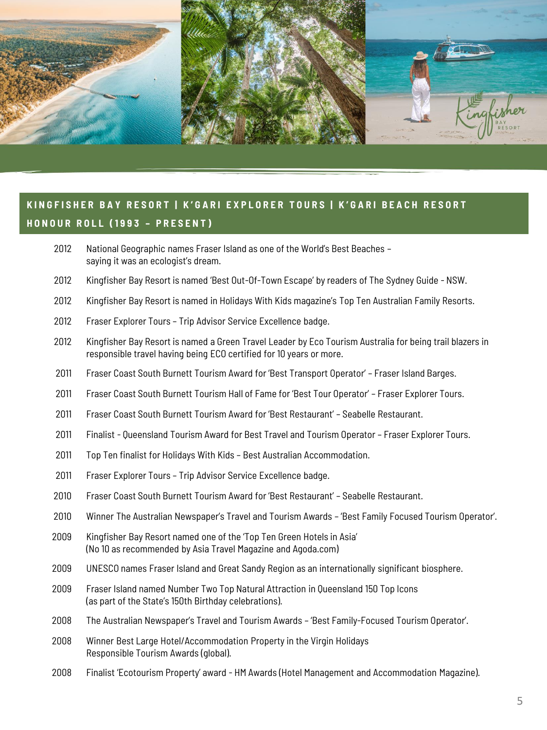

- National Geographic names Fraser Island as one of the World's Best Beaches saying it was an ecologist's dream.
- Kingfisher Bay Resort is named 'Best Out-Of-Town Escape' by readers of The Sydney Guide NSW.
- Kingfisher Bay Resort is named in Holidays With Kids magazine's Top Ten Australian Family Resorts.
- Fraser Explorer Tours Trip Advisor Service Excellence badge.
- Kingfisher Bay Resort is named a Green Travel Leader by Eco Tourism Australia for being trail blazers in responsible travel having being ECO certified for 10 years or more.
- Fraser Coast South Burnett Tourism Award for 'Best Transport Operator' Fraser Island Barges.
- Fraser Coast South Burnett Tourism Hall of Fame for 'Best Tour Operator' Fraser Explorer Tours.
- Fraser Coast South Burnett Tourism Award for 'Best Restaurant' Seabelle Restaurant.
- Finalist Queensland Tourism Award for Best Travel and Tourism Operator Fraser Explorer Tours.
- Top Ten finalist for Holidays With Kids Best Australian Accommodation.
- Fraser Explorer Tours Trip Advisor Service Excellence badge.
- Fraser Coast South Burnett Tourism Award for 'Best Restaurant' Seabelle Restaurant.
- Winner The Australian Newspaper's Travel and Tourism Awards 'Best Family Focused Tourism Operator'.
- Kingfisher Bay Resort named one of the 'Top Ten Green Hotels in Asia' (No 10 as recommended by Asia Travel Magazine and Agoda.com)
- UNESCO names Fraser Island and Great Sandy Region as an internationally significant biosphere.
- Fraser Island named Number Two Top Natural Attraction in Queensland 150 Top Icons (as part of the State's 150th Birthday celebrations).
- The Australian Newspaper's Travel and Tourism Awards 'Best Family-Focused Tourism Operator'.
- Winner Best Large Hotel/Accommodation Property in the Virgin Holidays Responsible Tourism Awards (global).
- Finalist 'Ecotourism Property' award HM Awards (Hotel Management and Accommodation Magazine).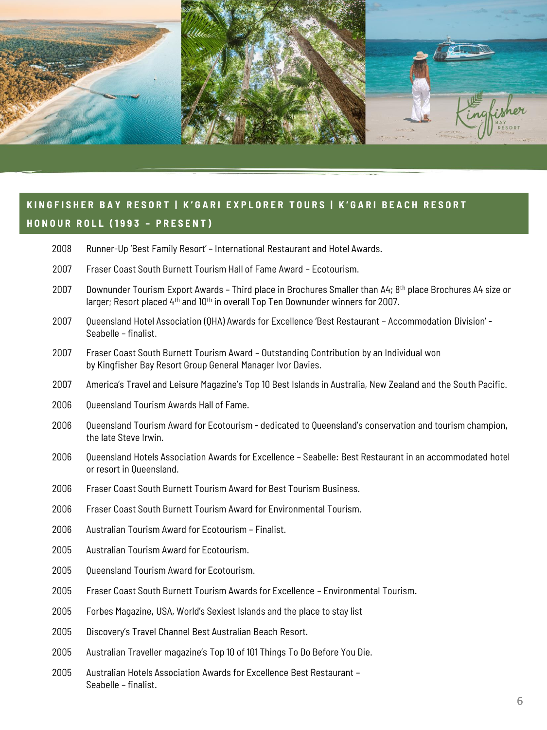

# **K I N G F I S H E R B A Y R E S O R T | K ' G A R I E X P L O R E R T O U R S | K ' G A R I B E A C H R E S O R T H O N O U R R O L L ( 1 9 9 3 – P R E S E N T )**

- Runner-Up 'Best Family Resort' International Restaurant and Hotel Awards.
- Fraser Coast South Burnett Tourism Hall of Fame Award Ecotourism.
- Downunder Tourism Export Awards Third place in Brochures Smaller than A4; 8th place Brochures A4 size or larger; Resort placed 4<sup>th</sup> and 10<sup>th</sup> in overall Top Ten Downunder winners for 2007.
- Queensland Hotel Association (QHA) Awards for Excellence 'Best Restaurant Accommodation Division' Seabelle – finalist.
- Fraser Coast South Burnett Tourism Award Outstanding Contribution by an Individual won by Kingfisher Bay Resort Group General Manager Ivor Davies.
- America's Travel and Leisure Magazine's Top 10 Best Islands in Australia, New Zealand and the South Pacific.
- 2006 Oueensland Tourism Awards Hall of Fame.
- Queensland Tourism Award for Ecotourism dedicated to Queensland's conservation and tourism champion, the late Steve Irwin.
- Queensland Hotels Association Awards for Excellence Seabelle: Best Restaurant in an accommodated hotel or resort in Queensland.
- Fraser Coast South Burnett Tourism Award for Best Tourism Business.
- Fraser Coast South Burnett Tourism Award for Environmental Tourism.
- Australian Tourism Award for Ecotourism Finalist.
- Australian Tourism Award for Ecotourism.
- 2005 Oueensland Tourism Award for Ecotourism.
- Fraser Coast South Burnett Tourism Awards for Excellence Environmental Tourism.
- Forbes Magazine, USA, World's Sexiest Islands and the place to stay list
- Discovery's Travel Channel Best Australian Beach Resort.
- Australian Traveller magazine's Top 10 of 101 Things To Do Before You Die.
- Australian Hotels Association Awards for Excellence Best Restaurant Seabelle – finalist.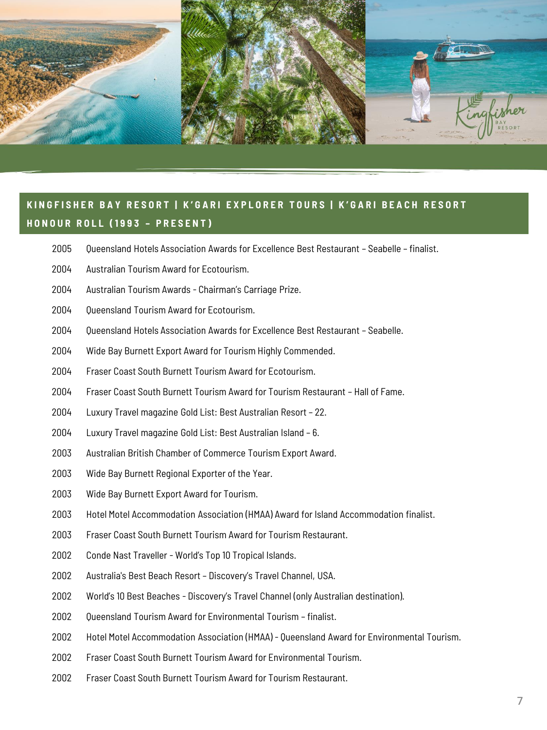

# **K I N G F I S H E R B A Y R E S O R T | K ' G A R I E X P L O R E R T O U R S | K ' G A R I B E A C H R E S O R T H O N O U R R O L L ( 1 9 9 3 – P R E S E N T )**

- Queensland Hotels Association Awards for Excellence Best Restaurant Seabelle finalist.
- Australian Tourism Award for Ecotourism.
- Australian Tourism Awards Chairman's Carriage Prize.
- 2004 Oueensland Tourism Award for Ecotourism.
- Queensland Hotels Association Awards for Excellence Best Restaurant Seabelle.
- Wide Bay Burnett Export Award for Tourism Highly Commended.
- Fraser Coast South Burnett Tourism Award for Ecotourism.
- Fraser Coast South Burnett Tourism Award for Tourism Restaurant Hall of Fame.
- Luxury Travel magazine Gold List: Best Australian Resort 22.
- Luxury Travel magazine Gold List: Best Australian Island 6.
- Australian British Chamber of Commerce Tourism Export Award.
- Wide Bay Burnett Regional Exporter of the Year.
- Wide Bay Burnett Export Award for Tourism.
- Hotel Motel Accommodation Association (HMAA) Award for Island Accommodation finalist.
- Fraser Coast South Burnett Tourism Award for Tourism Restaurant.
- Conde Nast Traveller World's Top 10 Tropical Islands.
- Australia's Best Beach Resort Discovery's Travel Channel, USA.
- World's 10 Best Beaches Discovery's Travel Channel (only Australian destination).
- 2002 Oueensland Tourism Award for Environmental Tourism finalist.
- Hotel Motel Accommodation Association (HMAA) Queensland Award for Environmental Tourism.
- Fraser Coast South Burnett Tourism Award for Environmental Tourism.
- Fraser Coast South Burnett Tourism Award for Tourism Restaurant.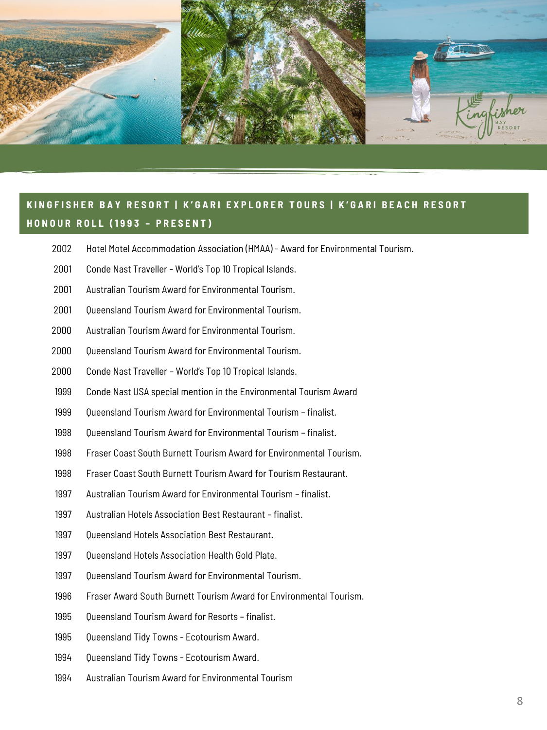

#### **K I N G F I S H E R B A Y R E S O R T | K ' G A R I E X P L O R E R T O U R S | K ' G A R I B E A C H R E S O R T H O N O U R R O L L ( 1 9 9 3 – P R E S E N T )**

- Hotel Motel Accommodation Association (HMAA) Award for Environmental Tourism.
- Conde Nast Traveller World's Top 10 Tropical Islands.
- Australian Tourism Award for Environmental Tourism.
- 2001 Oueensland Tourism Award for Environmental Tourism.
- Australian Tourism Award for Environmental Tourism.
- 2000 Oueensland Tourism Award for Environmental Tourism.
- Conde Nast Traveller World's Top 10 Tropical Islands.
- Conde Nast USA special mention in the Environmental Tourism Award
- 1999 Oueensland Tourism Award for Environmental Tourism finalist.
- 1998 Oueensland Tourism Award for Environmental Tourism finalist.
- Fraser Coast South Burnett Tourism Award for Environmental Tourism.
- Fraser Coast South Burnett Tourism Award for Tourism Restaurant.
- Australian Tourism Award for Environmental Tourism finalist.
- Australian Hotels Association Best Restaurant finalist.
- Queensland Hotels Association Best Restaurant.
- 1997 Oueensland Hotels Association Health Gold Plate.
- 1997 Oueensland Tourism Award for Environmental Tourism.
- Fraser Award South Burnett Tourism Award for Environmental Tourism.
- 1995 Oueensland Tourism Award for Resorts finalist.
- Queensland Tidy Towns Ecotourism Award.
- Queensland Tidy Towns Ecotourism Award.
- Australian Tourism Award for Environmental Tourism